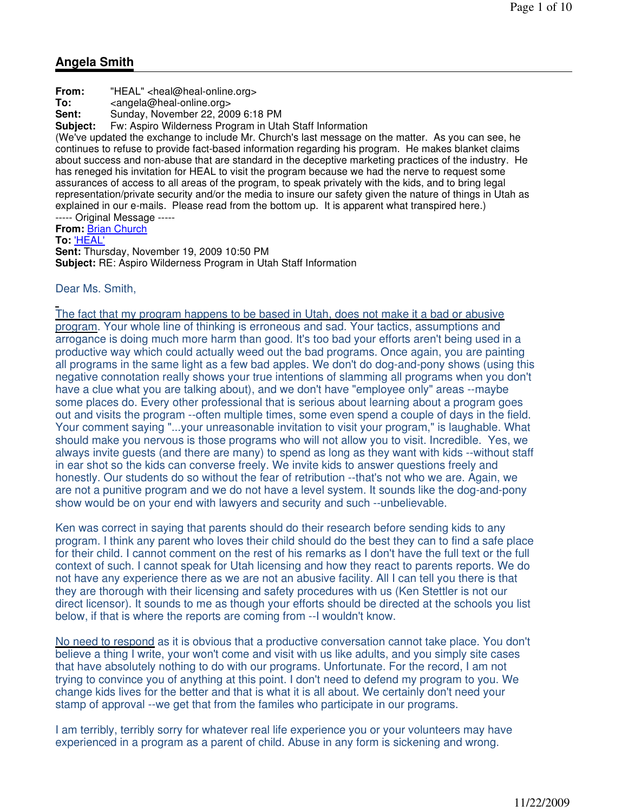# **Angela Smith**

**From:** "HEAL" <heal@heal-online.org> **To:** <angela@heal-online.org> **Sent:** Sunday, November 22, 2009 6:18 PM<br>**Subiect:** Fw: Aspiro Wilderness Program in Uta **Subject:** Fw: Aspiro Wilderness Program in Utah Staff Information (We've updated the exchange to include Mr. Church's last message on the matter. As you can see, he continues to refuse to provide fact-based information regarding his program. He makes blanket claims about success and non-abuse that are standard in the deceptive marketing practices of the industry. He has reneged his invitation for HEAL to visit the program because we had the nerve to request some assurances of access to all areas of the program, to speak privately with the kids, and to bring legal representation/private security and/or the media to insure our safety given the nature of things in Utah as explained in our e-mails. Please read from the bottom up. It is apparent what transpired here.) ----- Original Message ----- **From:** Brian Church **To:** 'HEAL' **Sent:** Thursday, November 19, 2009 10:50 PM

**Subject:** RE: Aspiro Wilderness Program in Utah Staff Information

Dear Ms. Smith,

The fact that my program happens to be based in Utah, does not make it a bad or abusive program. Your whole line of thinking is erroneous and sad. Your tactics, assumptions and arrogance is doing much more harm than good. It's too bad your efforts aren't being used in a productive way which could actually weed out the bad programs. Once again, you are painting all programs in the same light as a few bad apples. We don't do dog-and-pony shows (using this negative connotation really shows your true intentions of slamming all programs when you don't have a clue what you are talking about), and we don't have "employee only" areas --maybe some places do. Every other professional that is serious about learning about a program goes out and visits the program --often multiple times, some even spend a couple of days in the field. Your comment saying "...your unreasonable invitation to visit your program," is laughable. What should make you nervous is those programs who will not allow you to visit. Incredible. Yes, we always invite guests (and there are many) to spend as long as they want with kids --without staff in ear shot so the kids can converse freely. We invite kids to answer questions freely and honestly. Our students do so without the fear of retribution --that's not who we are. Again, we are not a punitive program and we do not have a level system. It sounds like the dog-and-pony show would be on your end with lawyers and security and such --unbelievable.

Ken was correct in saying that parents should do their research before sending kids to any program. I think any parent who loves their child should do the best they can to find a safe place for their child. I cannot comment on the rest of his remarks as I don't have the full text or the full context of such. I cannot speak for Utah licensing and how they react to parents reports. We do not have any experience there as we are not an abusive facility. All I can tell you there is that they are thorough with their licensing and safety procedures with us (Ken Stettler is not our direct licensor). It sounds to me as though your efforts should be directed at the schools you list below, if that is where the reports are coming from --I wouldn't know.

No need to respond as it is obvious that a productive conversation cannot take place. You don't believe a thing I write, your won't come and visit with us like adults, and you simply site cases that have absolutely nothing to do with our programs. Unfortunate. For the record, I am not trying to convince you of anything at this point. I don't need to defend my program to you. We change kids lives for the better and that is what it is all about. We certainly don't need your stamp of approval --we get that from the familes who participate in our programs.

I am terribly, terribly sorry for whatever real life experience you or your volunteers may have experienced in a program as a parent of child. Abuse in any form is sickening and wrong.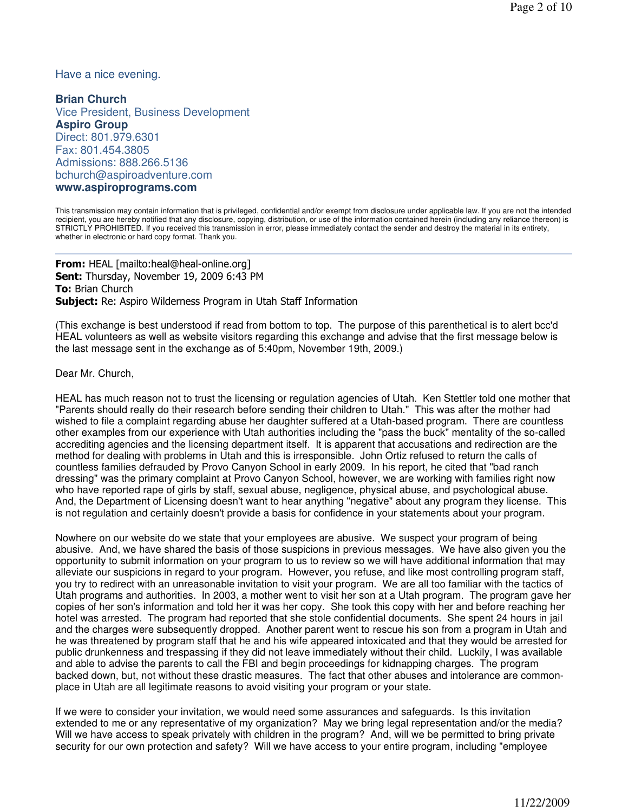Have a nice evening.

**Brian Church** Vice President, Business Development **Aspiro Group** Direct: 801.979.6301 Fax: 801.454.3805 Admissions: 888.266.5136 bchurch@aspiroadventure.com **www.aspiroprograms.com**

This transmission may contain information that is privileged, confidential and/or exempt from disclosure under applicable law. If you are not the intended recipient, you are hereby notified that any disclosure, copying, distribution, or use of the information contained herein (including any reliance thereon) is STRICTLY PROHIBITED. If you received this transmission in error, please immediately contact the sender and destroy the material in its entirety, whether in electronic or hard copy format. Thank you.

From: HEAL [mailto:heal@heal-online.org] Sent: Thursday, November 19, 2009 6:43 PM **To: Brian Church Subject:** Re: Aspiro Wilderness Program in Utah Staff Information

(This exchange is best understood if read from bottom to top. The purpose of this parenthetical is to alert bcc'd HEAL volunteers as well as website visitors regarding this exchange and advise that the first message below is the last message sent in the exchange as of 5:40pm, November 19th, 2009.)

Dear Mr. Church,

HEAL has much reason not to trust the licensing or regulation agencies of Utah. Ken Stettler told one mother that "Parents should really do their research before sending their children to Utah." This was after the mother had wished to file a complaint regarding abuse her daughter suffered at a Utah-based program. There are countless other examples from our experience with Utah authorities including the "pass the buck" mentality of the so-called accrediting agencies and the licensing department itself. It is apparent that accusations and redirection are the method for dealing with problems in Utah and this is irresponsible. John Ortiz refused to return the calls of countless families defrauded by Provo Canyon School in early 2009. In his report, he cited that "bad ranch dressing" was the primary complaint at Provo Canyon School, however, we are working with families right now who have reported rape of girls by staff, sexual abuse, negligence, physical abuse, and psychological abuse. And, the Department of Licensing doesn't want to hear anything "negative" about any program they license. This is not regulation and certainly doesn't provide a basis for confidence in your statements about your program.

Nowhere on our website do we state that your employees are abusive. We suspect your program of being abusive. And, we have shared the basis of those suspicions in previous messages. We have also given you the opportunity to submit information on your program to us to review so we will have additional information that may alleviate our suspicions in regard to your program. However, you refuse, and like most controlling program staff, you try to redirect with an unreasonable invitation to visit your program. We are all too familiar with the tactics of Utah programs and authorities. In 2003, a mother went to visit her son at a Utah program. The program gave her copies of her son's information and told her it was her copy. She took this copy with her and before reaching her hotel was arrested. The program had reported that she stole confidential documents. She spent 24 hours in jail and the charges were subsequently dropped. Another parent went to rescue his son from a program in Utah and he was threatened by program staff that he and his wife appeared intoxicated and that they would be arrested for public drunkenness and trespassing if they did not leave immediately without their child. Luckily, I was available and able to advise the parents to call the FBI and begin proceedings for kidnapping charges. The program backed down, but, not without these drastic measures. The fact that other abuses and intolerance are commonplace in Utah are all legitimate reasons to avoid visiting your program or your state.

If we were to consider your invitation, we would need some assurances and safeguards. Is this invitation extended to me or any representative of my organization? May we bring legal representation and/or the media? Will we have access to speak privately with children in the program? And, will we be permitted to bring private security for our own protection and safety? Will we have access to your entire program, including "employee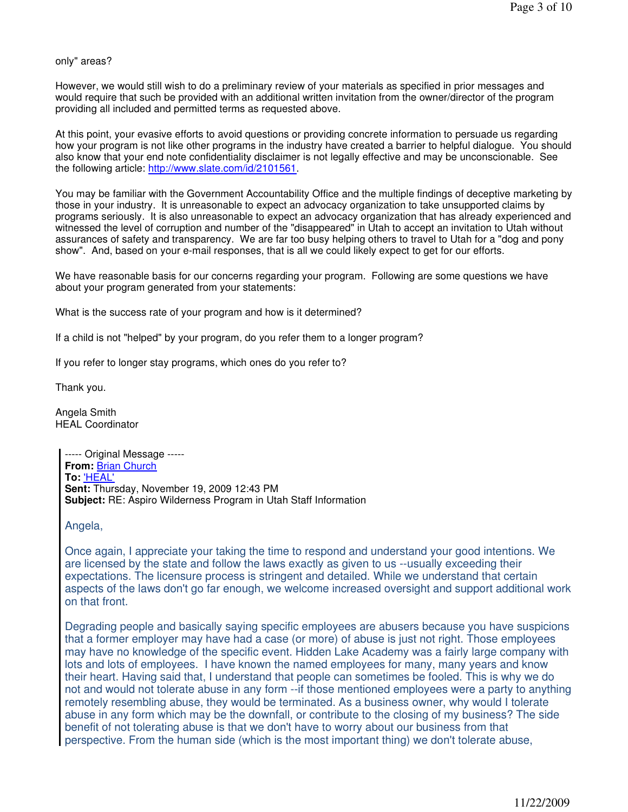only" areas?

However, we would still wish to do a preliminary review of your materials as specified in prior messages and would require that such be provided with an additional written invitation from the owner/director of the program providing all included and permitted terms as requested above.

At this point, your evasive efforts to avoid questions or providing concrete information to persuade us regarding how your program is not like other programs in the industry have created a barrier to helpful dialogue. You should also know that your end note confidentiality disclaimer is not legally effective and may be unconscionable. See the following article: http://www.slate.com/id/2101561.

You may be familiar with the Government Accountability Office and the multiple findings of deceptive marketing by those in your industry. It is unreasonable to expect an advocacy organization to take unsupported claims by programs seriously. It is also unreasonable to expect an advocacy organization that has already experienced and witnessed the level of corruption and number of the "disappeared" in Utah to accept an invitation to Utah without assurances of safety and transparency. We are far too busy helping others to travel to Utah for a "dog and pony show". And, based on your e-mail responses, that is all we could likely expect to get for our efforts.

We have reasonable basis for our concerns regarding your program. Following are some questions we have about your program generated from your statements:

What is the success rate of your program and how is it determined?

If a child is not "helped" by your program, do you refer them to a longer program?

If you refer to longer stay programs, which ones do you refer to?

Thank you.

Angela Smith HEAL Coordinator

> ----- Original Message ----- **From:** Brian Church **To:** 'HEAL' **Sent:** Thursday, November 19, 2009 12:43 PM **Subject:** RE: Aspiro Wilderness Program in Utah Staff Information

Angela,

Once again, I appreciate your taking the time to respond and understand your good intentions. We are licensed by the state and follow the laws exactly as given to us --usually exceeding their expectations. The licensure process is stringent and detailed. While we understand that certain aspects of the laws don't go far enough, we welcome increased oversight and support additional work on that front.

Degrading people and basically saying specific employees are abusers because you have suspicions that a former employer may have had a case (or more) of abuse is just not right. Those employees may have no knowledge of the specific event. Hidden Lake Academy was a fairly large company with lots and lots of employees. I have known the named employees for many, many years and know their heart. Having said that, I understand that people can sometimes be fooled. This is why we do not and would not tolerate abuse in any form --if those mentioned employees were a party to anything remotely resembling abuse, they would be terminated. As a business owner, why would I tolerate abuse in any form which may be the downfall, or contribute to the closing of my business? The side benefit of not tolerating abuse is that we don't have to worry about our business from that perspective. From the human side (which is the most important thing) we don't tolerate abuse,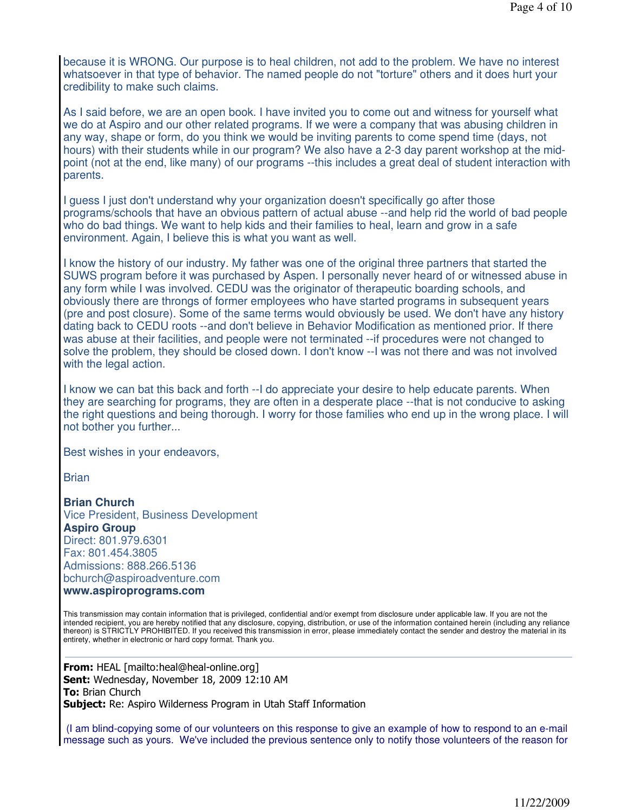because it is WRONG. Our purpose is to heal children, not add to the problem. We have no interest whatsoever in that type of behavior. The named people do not "torture" others and it does hurt your credibility to make such claims.

As I said before, we are an open book. I have invited you to come out and witness for yourself what we do at Aspiro and our other related programs. If we were a company that was abusing children in any way, shape or form, do you think we would be inviting parents to come spend time (days, not hours) with their students while in our program? We also have a 2-3 day parent workshop at the midpoint (not at the end, like many) of our programs --this includes a great deal of student interaction with parents.

I guess I just don't understand why your organization doesn't specifically go after those programs/schools that have an obvious pattern of actual abuse --and help rid the world of bad people who do bad things. We want to help kids and their families to heal, learn and grow in a safe environment. Again, I believe this is what you want as well.

I know the history of our industry. My father was one of the original three partners that started the SUWS program before it was purchased by Aspen. I personally never heard of or witnessed abuse in any form while I was involved. CEDU was the originator of therapeutic boarding schools, and obviously there are throngs of former employees who have started programs in subsequent years (pre and post closure). Some of the same terms would obviously be used. We don't have any history dating back to CEDU roots --and don't believe in Behavior Modification as mentioned prior. If there was abuse at their facilities, and people were not terminated --if procedures were not changed to solve the problem, they should be closed down. I don't know --I was not there and was not involved with the legal action.

I know we can bat this back and forth --I do appreciate your desire to help educate parents. When they are searching for programs, they are often in a desperate place --that is not conducive to asking the right questions and being thorough. I worry for those families who end up in the wrong place. I will not bother you further...

Best wishes in your endeavors,

**Brian** 

**Brian Church** Vice President, Business Development **Aspiro Group** Direct: 801.979.6301 Fax: 801.454.3805 Admissions: 888.266.5136 bchurch@aspiroadventure.com

**www.aspiroprograms.com**

This transmission may contain information that is privileged, confidential and/or exempt from disclosure under applicable law. If you are not the intended recipient, you are hereby notified that any disclosure, copying, distribution, or use of the information contained herein (including any reliance thereon) is STRICTLY PROHIBITED. If you received this transmission in error, please immediately contact the sender and destroy the material in its entirety, whether in electronic or hard copy format. Thank you.

**From:** HEAL [mailto:heal@heal-online.org] Sent: Wednesday, November 18, 2009 12:10 AM **To: Brian Church** Subject: Re: Aspiro Wilderness Program in Utah Staff Information

(I am blind-copying some of our volunteers on this response to give an example of how to respond to an e-mail message such as yours. We've included the previous sentence only to notify those volunteers of the reason for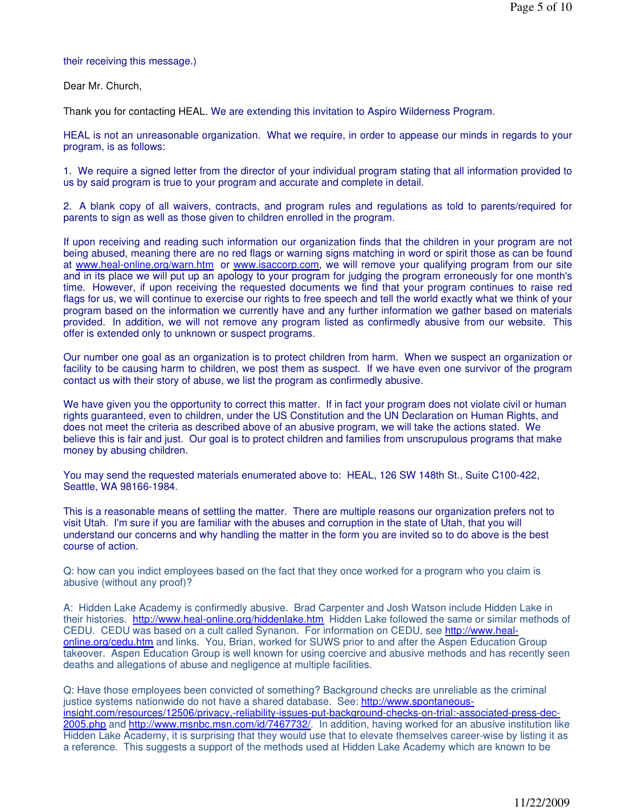#### their receiving this message.)

Dear Mr. Church,

Thank you for contacting HEAL. We are extending this invitation to Aspiro Wilderness Program.

HEAL is not an unreasonable organization. What we require, in order to appease our minds in regards to your program, is as follows:

1. We require a signed letter from the director of your individual program stating that all information provided to us by said program is true to your program and accurate and complete in detail.

2. A blank copy of all waivers, contracts, and program rules and regulations as told to parents/required for parents to sign as well as those given to children enrolled in the program.

If upon receiving and reading such information our organization finds that the children in your program are not being abused, meaning there are no red flags or warning signs matching in word or spirit those as can be found at www.heal-online.org/warn.htm or www.isaccorp.com, we will remove your qualifying program from our site and in its place we will put up an apology to your program for judging the program erroneously for one month's time. However, if upon receiving the requested documents we find that your program continues to raise red flags for us, we will continue to exercise our rights to free speech and tell the world exactly what we think of your program based on the information we currently have and any further information we gather based on materials provided. In addition, we will not remove any program listed as confirmedly abusive from our website. This offer is extended only to unknown or suspect programs.

Our number one goal as an organization is to protect children from harm. When we suspect an organization or facility to be causing harm to children, we post them as suspect. If we have even one survivor of the program contact us with their story of abuse, we list the program as confirmedly abusive.

We have given you the opportunity to correct this matter. If in fact your program does not violate civil or human rights guaranteed, even to children, under the US Constitution and the UN Declaration on Human Rights, and does not meet the criteria as described above of an abusive program, we will take the actions stated. We believe this is fair and just. Our goal is to protect children and families from unscrupulous programs that make money by abusing children.

You may send the requested materials enumerated above to: HEAL, 126 SW 148th St., Suite C100-422, Seattle, WA 98166-1984.

This is a reasonable means of settling the matter. There are multiple reasons our organization prefers not to visit Utah. I'm sure if you are familiar with the abuses and corruption in the state of Utah, that you will understand our concerns and why handling the matter in the form you are invited so to do above is the best course of action.

Q: how can you indict employees based on the fact that they once worked for a program who you claim is abusive (without any proof)?

A: Hidden Lake Academy is confirmedly abusive. Brad Carpenter and Josh Watson include Hidden Lake in their histories. http://www.heal-online.org/hiddenlake.htm Hidden Lake followed the same or similar methods of CEDU. CEDU was based on a cult called Synanon. For information on CEDU, see http://www.healonline.org/cedu.htm and links. You, Brian, worked for SUWS prior to and after the Aspen Education Group takeover. Aspen Education Group is well known for using coercive and abusive methods and has recently seen deaths and allegations of abuse and negligence at multiple facilities.

Q: Have those employees been convicted of something? Background checks are unreliable as the criminal justice systems nationwide do not have a shared database. See: http://www.spontaneousinsight.com/resources/12506/privacy,-reliability-issues-put-background-checks-on-trial:-associated-press-dec-2005.php and http://www.msnbc.msn.com/id/7467732/. In addition, having worked for an abusive institution like Hidden Lake Academy, it is surprising that they would use that to elevate themselves career-wise by listing it as a reference. This suggests a support of the methods used at Hidden Lake Academy which are known to be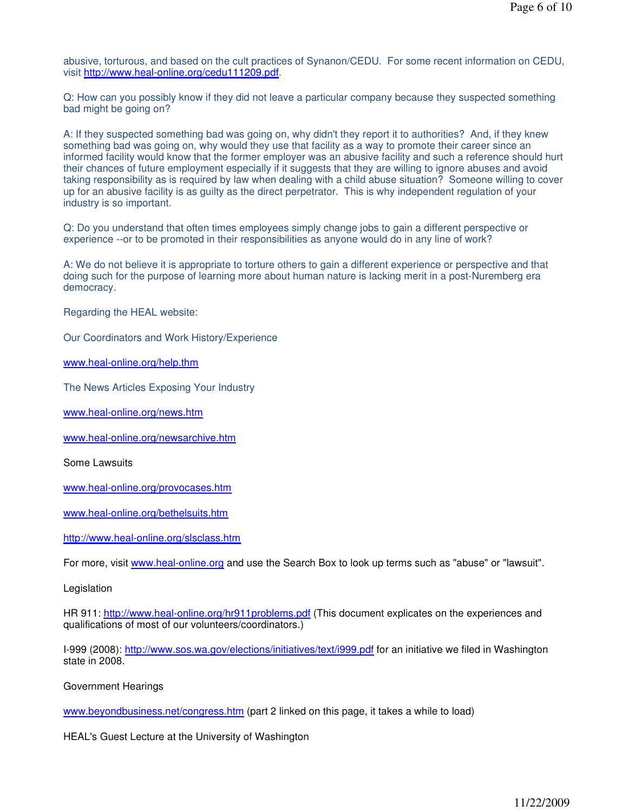abusive, torturous, and based on the cult practices of Synanon/CEDU. For some recent information on CEDU, visit http://www.heal-online.org/cedu111209.pdf.

Q: How can you possibly know if they did not leave a particular company because they suspected something bad might be going on?

A: If they suspected something bad was going on, why didn't they report it to authorities? And, if they knew something bad was going on, why would they use that facility as a way to promote their career since an informed facility would know that the former employer was an abusive facility and such a reference should hurt their chances of future employment especially if it suggests that they are willing to ignore abuses and avoid taking responsibility as is required by law when dealing with a child abuse situation? Someone willing to cover up for an abusive facility is as guilty as the direct perpetrator. This is why independent regulation of your industry is so important.

Q: Do you understand that often times employees simply change jobs to gain a different perspective or experience --or to be promoted in their responsibilities as anyone would do in any line of work?

A: We do not believe it is appropriate to torture others to gain a different experience or perspective and that doing such for the purpose of learning more about human nature is lacking merit in a post-Nuremberg era democracy.

Regarding the HEAL website:

Our Coordinators and Work History/Experience

www.heal-online.org/help.thm

The News Articles Exposing Your Industry

www.heal-online.org/news.htm

www.heal-online.org/newsarchive.htm

Some Lawsuits

www.heal-online.org/provocases.htm

www.heal-online.org/bethelsuits.htm

http://www.heal-online.org/slsclass.htm

For more, visit www.heal-online.org and use the Search Box to look up terms such as "abuse" or "lawsuit".

Legislation

HR 911: http://www.heal-online.org/hr911problems.pdf (This document explicates on the experiences and qualifications of most of our volunteers/coordinators.)

I-999 (2008): http://www.sos.wa.gov/elections/initiatives/text/i999.pdf for an initiative we filed in Washington state in 2008.

Government Hearings

www.beyondbusiness.net/congress.htm (part 2 linked on this page, it takes a while to load)

HEAL's Guest Lecture at the University of Washington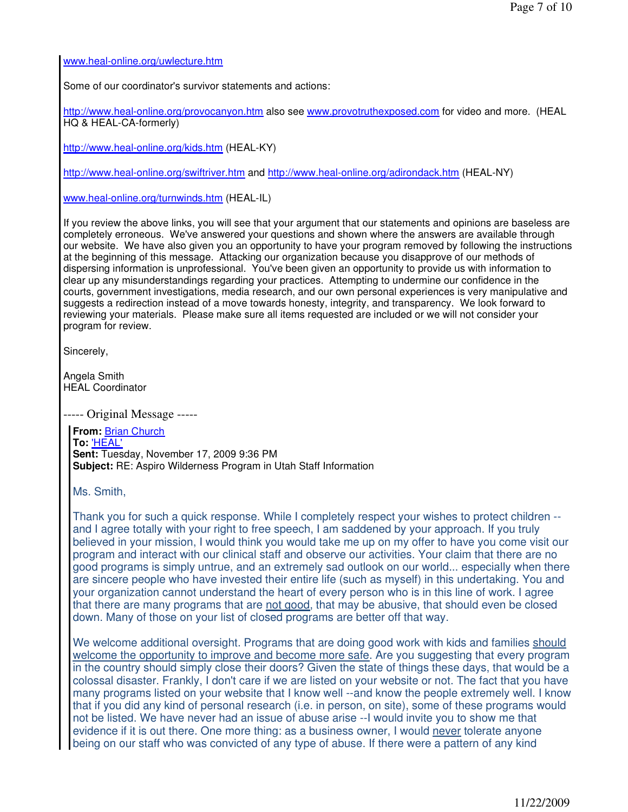www.heal-online.org/uwlecture.htm

Some of our coordinator's survivor statements and actions:

http://www.heal-online.org/provocanyon.htm also see www.provotruthexposed.com for video and more. (HEAL HQ & HEAL-CA-formerly)

http://www.heal-online.org/kids.htm (HEAL-KY)

http://www.heal-online.org/swiftriver.htm and http://www.heal-online.org/adirondack.htm (HEAL-NY)

www.heal-online.org/turnwinds.htm (HEAL-IL)

If you review the above links, you will see that your argument that our statements and opinions are baseless are completely erroneous. We've answered your questions and shown where the answers are available through our website. We have also given you an opportunity to have your program removed by following the instructions at the beginning of this message. Attacking our organization because you disapprove of our methods of dispersing information is unprofessional. You've been given an opportunity to provide us with information to clear up any misunderstandings regarding your practices. Attempting to undermine our confidence in the courts, government investigations, media research, and our own personal experiences is very manipulative and suggests a redirection instead of a move towards honesty, integrity, and transparency. We look forward to reviewing your materials. Please make sure all items requested are included or we will not consider your program for review.

Sincerely,

Angela Smith HEAL Coordinator

----- Original Message -----

**From:** Brian Church **To:** 'HEAL' **Sent:** Tuesday, November 17, 2009 9:36 PM **Subject:** RE: Aspiro Wilderness Program in Utah Staff Information

Ms. Smith,

Thank you for such a quick response. While I completely respect your wishes to protect children - and I agree totally with your right to free speech, I am saddened by your approach. If you truly believed in your mission, I would think you would take me up on my offer to have you come visit our program and interact with our clinical staff and observe our activities. Your claim that there are no good programs is simply untrue, and an extremely sad outlook on our world... especially when there are sincere people who have invested their entire life (such as myself) in this undertaking. You and your organization cannot understand the heart of every person who is in this line of work. I agree that there are many programs that are not good, that may be abusive, that should even be closed down. Many of those on your list of closed programs are better off that way.

We welcome additional oversight. Programs that are doing good work with kids and families should welcome the opportunity to improve and become more safe. Are you suggesting that every program in the country should simply close their doors? Given the state of things these days, that would be a colossal disaster. Frankly, I don't care if we are listed on your website or not. The fact that you have many programs listed on your website that I know well --and know the people extremely well. I know that if you did any kind of personal research (i.e. in person, on site), some of these programs would not be listed. We have never had an issue of abuse arise --I would invite you to show me that evidence if it is out there. One more thing: as a business owner, I would never tolerate anyone being on our staff who was convicted of any type of abuse. If there were a pattern of any kind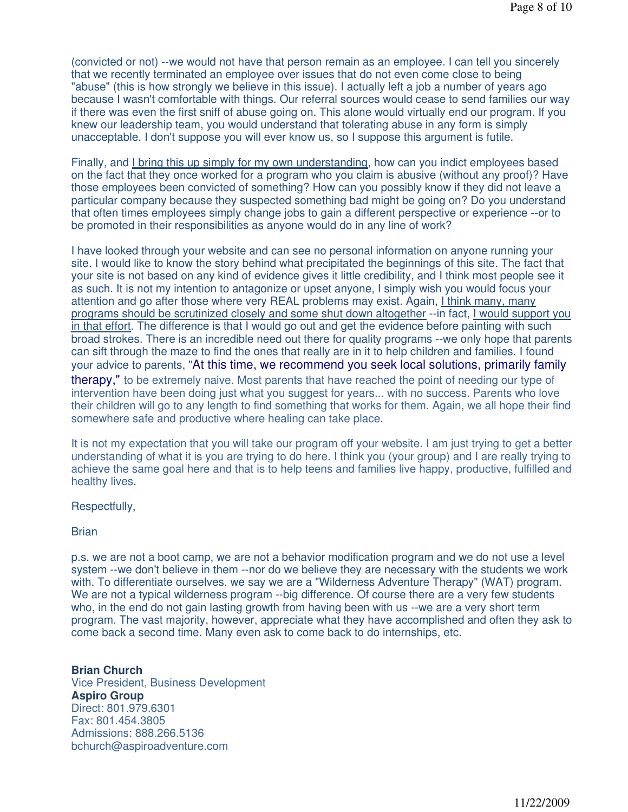(convicted or not) --we would not have that person remain as an employee. I can tell you sincerely that we recently terminated an employee over issues that do not even come close to being "abuse" (this is how strongly we believe in this issue). I actually left a job a number of years ago because I wasn't comfortable with things. Our referral sources would cease to send families our way if there was even the first sniff of abuse going on. This alone would virtually end our program. If you knew our leadership team, you would understand that tolerating abuse in any form is simply unacceptable. I don't suppose you will ever know us, so I suppose this argument is futile.

Finally, and I bring this up simply for my own understanding, how can you indict employees based on the fact that they once worked for a program who you claim is abusive (without any proof)? Have those employees been convicted of something? How can you possibly know if they did not leave a particular company because they suspected something bad might be going on? Do you understand that often times employees simply change jobs to gain a different perspective or experience --or to be promoted in their responsibilities as anyone would do in any line of work?

I have looked through your website and can see no personal information on anyone running your site. I would like to know the story behind what precipitated the beginnings of this site. The fact that your site is not based on any kind of evidence gives it little credibility, and I think most people see it as such. It is not my intention to antagonize or upset anyone, I simply wish you would focus your attention and go after those where very REAL problems may exist. Again, I think many, many programs should be scrutinized closely and some shut down altogether --in fact, I would support you in that effort. The difference is that I would go out and get the evidence before painting with such broad strokes. There is an incredible need out there for quality programs --we only hope that parents can sift through the maze to find the ones that really are in it to help children and families. I found your advice to parents, "At this time, we recommend you seek local solutions, primarily family therapy," to be extremely naive. Most parents that have reached the point of needing our type of intervention have been doing just what you suggest for years... with no success. Parents who love their children will go to any length to find something that works for them. Again, we all hope their find somewhere safe and productive where healing can take place.

It is not my expectation that you will take our program off your website. I am just trying to get a better understanding of what it is you are trying to do here. I think you (your group) and I are really trying to achieve the same goal here and that is to help teens and families live happy, productive, fulfilled and healthy lives.

## Respectfully,

### Brian

p.s. we are not a boot camp, we are not a behavior modification program and we do not use a level system --we don't believe in them --nor do we believe they are necessary with the students we work with. To differentiate ourselves, we say we are a "Wilderness Adventure Therapy" (WAT) program. We are not a typical wilderness program --big difference. Of course there are a very few students who, in the end do not gain lasting growth from having been with us --we are a very short term program. The vast majority, however, appreciate what they have accomplished and often they ask to come back a second time. Many even ask to come back to do internships, etc.

## **Brian Church** Vice President, Business Development **Aspiro Group** Direct: 801.979.6301 Fax: 801.454.3805 Admissions: 888.266.5136 bchurch@aspiroadventure.com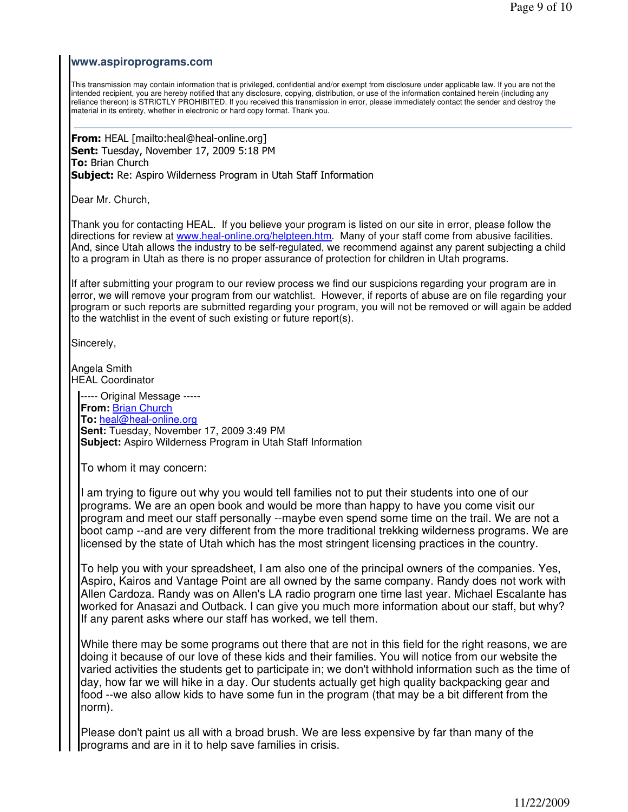## **www.aspiroprograms.com**

This transmission may contain information that is privileged, confidential and/or exempt from disclosure under applicable law. If you are not the intended recipient, you are hereby notified that any disclosure, copying, distribution, or use of the information contained herein (including any reliance thereon) is STRICTLY PROHIBITED. If you received this transmission in error, please immediately contact the sender and destroy the material in its entirety, whether in electronic or hard copy format. Thank you.

From: HEAL [mailto:heal@heal-online.org] Sent: Tuesday, November 17, 2009 5:18 PM **To: Brian Church Subject:** Re: Aspiro Wilderness Program in Utah Staff Information

Dear Mr. Church,

Thank you for contacting HEAL. If you believe your program is listed on our site in error, please follow the directions for review at www.heal-online.org/helpteen.htm. Many of your staff come from abusive facilities. And, since Utah allows the industry to be self-regulated, we recommend against any parent subjecting a child to a program in Utah as there is no proper assurance of protection for children in Utah programs.

If after submitting your program to our review process we find our suspicions regarding your program are in error, we will remove your program from our watchlist. However, if reports of abuse are on file regarding your program or such reports are submitted regarding your program, you will not be removed or will again be added to the watchlist in the event of such existing or future report(s).

Sincerely,

Angela Smith HEAL Coordinator

----- Original Message ----- **From:** Brian Church **To:** heal@heal-online.org **Sent:** Tuesday, November 17, 2009 3:49 PM **Subject:** Aspiro Wilderness Program in Utah Staff Information

To whom it may concern:

I am trying to figure out why you would tell families not to put their students into one of our programs. We are an open book and would be more than happy to have you come visit our program and meet our staff personally --maybe even spend some time on the trail. We are not a boot camp --and are very different from the more traditional trekking wilderness programs. We are licensed by the state of Utah which has the most stringent licensing practices in the country.

To help you with your spreadsheet, I am also one of the principal owners of the companies. Yes, Aspiro, Kairos and Vantage Point are all owned by the same company. Randy does not work with Allen Cardoza. Randy was on Allen's LA radio program one time last year. Michael Escalante has worked for Anasazi and Outback. I can give you much more information about our staff, but why? If any parent asks where our staff has worked, we tell them.

While there may be some programs out there that are not in this field for the right reasons, we are doing it because of our love of these kids and their families. You will notice from our website the varied activities the students get to participate in; we don't withhold information such as the time of day, how far we will hike in a day. Our students actually get high quality backpacking gear and food --we also allow kids to have some fun in the program (that may be a bit different from the norm).

Please don't paint us all with a broad brush. We are less expensive by far than many of the programs and are in it to help save families in crisis.